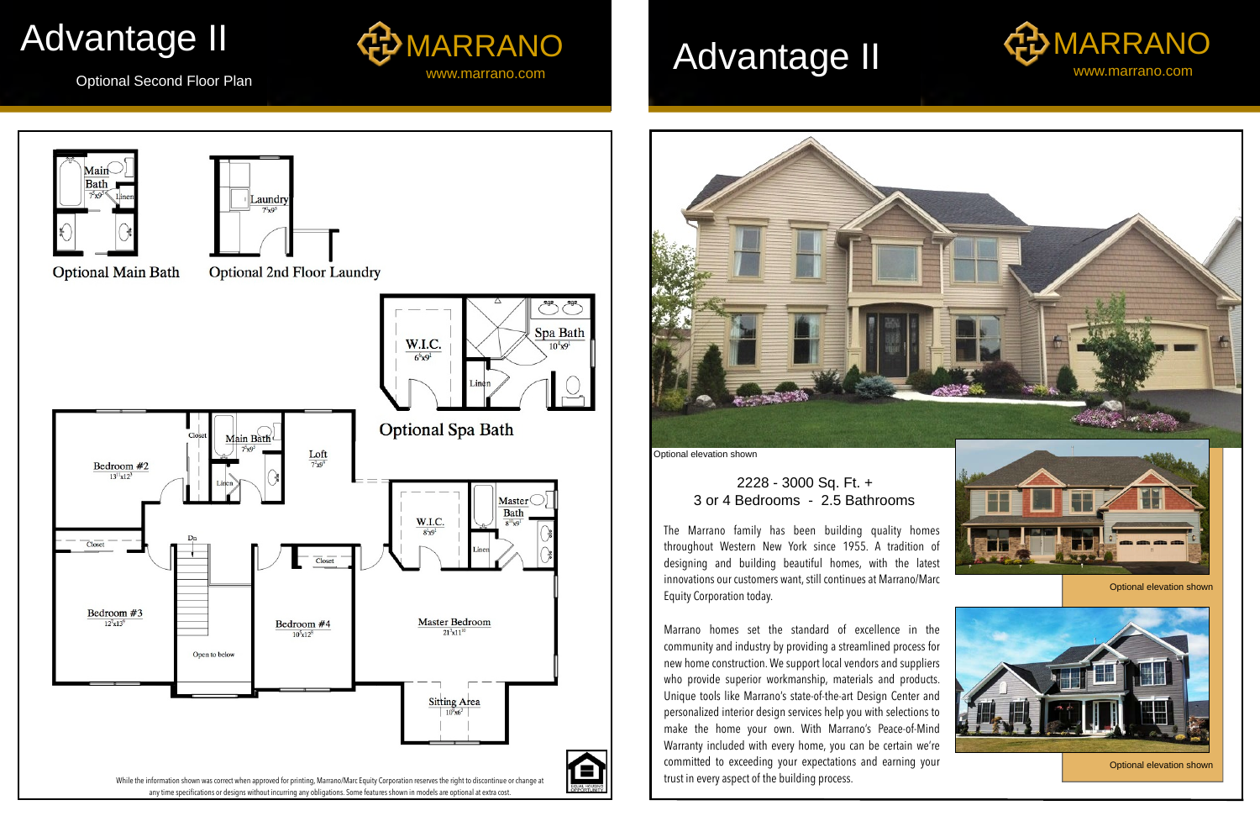

committed to exceeding your expectations and earning your trust in every aspect of the building process.

Optional Second Floor Plan







Optional elevation shown